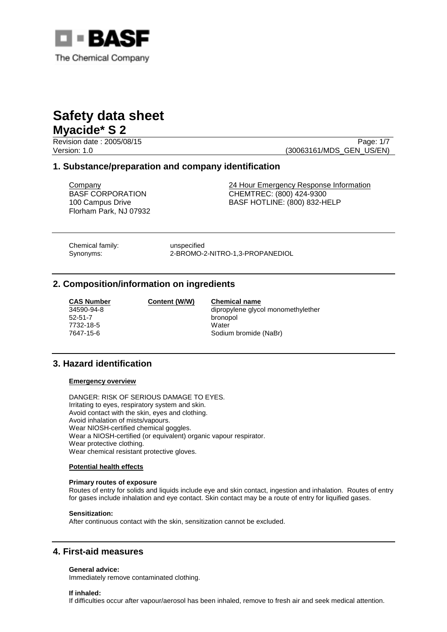

Revision date : 2005/08/15 **Page: 1/7** Page: 1/7 Version: 1.0 (30063161/MDS\_GEN\_US/EN)

# **1. Substance/preparation and company identification**

BASF CORPORATION 100 Campus Drive Florham Park, NJ 07932

**Company 24 Hour Emergency Response Information** CHEMTREC: (800) 424-9300 BASF HOTLINE: (800) 832-HELP

Chemical family: unspecified

Synonyms: 2-BROMO-2-NITRO-1,3-PROPANEDIOL

# **2. Composition/information on ingredients**

| <b>CAS Numbe</b> |
|------------------|
| 34590-94-8       |
| 52-51-7          |
| 7732-18-5        |
| 7647-15-6        |

**CONTENT CONTENT CONTENT** Chemical name bronopol

dipropylene glycol monomethylether Water Sodium bromide (NaBr)

# **3. Hazard identification**

### **Emergency overview**

DANGER: RISK OF SERIOUS DAMAGE TO EYES. Irritating to eyes, respiratory system and skin. Avoid contact with the skin, eyes and clothing. Avoid inhalation of mists/vapours. Wear NIOSH-certified chemical goggles. Wear a NIOSH-certified (or equivalent) organic vapour respirator. Wear protective clothing. Wear chemical resistant protective gloves.

### **Potential health effects**

### **Primary routes of exposure**

Routes of entry for solids and liquids include eye and skin contact, ingestion and inhalation. Routes of entry for gases include inhalation and eye contact. Skin contact may be a route of entry for liquified gases.

### **Sensitization:**

After continuous contact with the skin, sensitization cannot be excluded.

# **4. First-aid measures**

### **General advice:**

Immediately remove contaminated clothing.

### **If inhaled:**

If difficulties occur after vapour/aerosol has been inhaled, remove to fresh air and seek medical attention.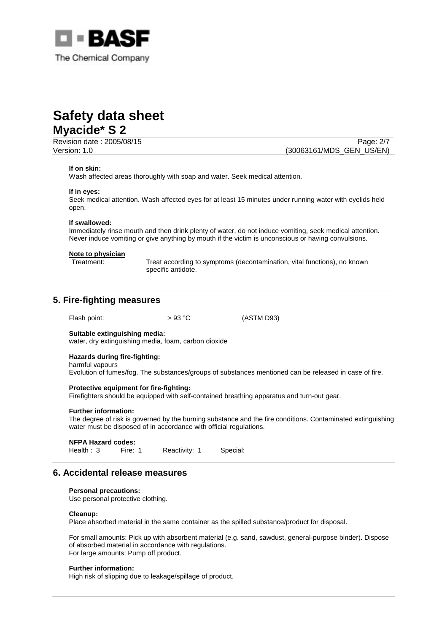

Revision date : 2005/08/15 **Page: 2/7** Page: 2/7 Version: 1.0 (30063161/MDS\_GEN\_US/EN)

### **If on skin:**

Wash affected areas thoroughly with soap and water. Seek medical attention.

#### **If in eyes:**

Seek medical attention. Wash affected eyes for at least 15 minutes under running water with eyelids held open.

#### **If swallowed:**

Immediately rinse mouth and then drink plenty of water, do not induce vomiting, seek medical attention. Never induce vomiting or give anything by mouth if the victim is unconscious or having convulsions.

#### **Note to physician**

Treatment: Treat according to symptoms (decontamination, vital functions), no known specific antidote.

## **5. Fire-fighting measures**

Flash point:  $> 93 °C$  (ASTM D93)

## **Suitable extinguishing media:**

water, dry extinguishing media, foam, carbon dioxide

#### **Hazards during fire-fighting:**  harmful vapours

Evolution of fumes/fog. The substances/groups of substances mentioned can be released in case of fire.

### **Protective equipment for fire-fighting:**

Firefighters should be equipped with self-contained breathing apparatus and turn-out gear.

#### **Further information:**

The degree of risk is governed by the burning substance and the fire conditions. Contaminated extinguishing water must be disposed of in accordance with official regulations.

#### **NFPA Hazard codes:**

Health : 3 Fire: 1 Reactivity: 1 Special:

# **6. Accidental release measures**

#### **Personal precautions:**

Use personal protective clothing.

### **Cleanup:**

Place absorbed material in the same container as the spilled substance/product for disposal.

For small amounts: Pick up with absorbent material (e.g. sand, sawdust, general-purpose binder). Dispose of absorbed material in accordance with regulations. For large amounts: Pump off product.

#### **Further information:**

High risk of slipping due to leakage/spillage of product.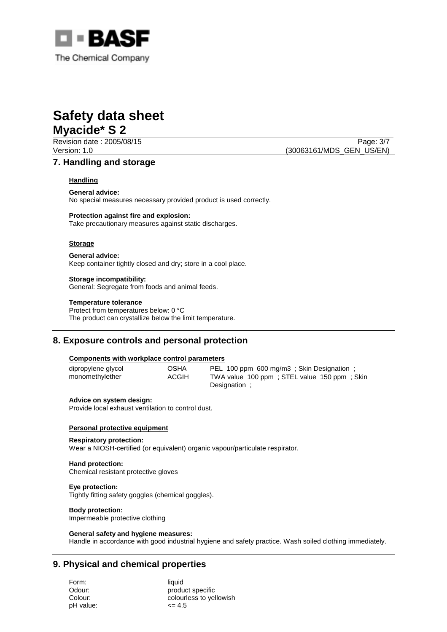

Revision date : 2005/08/15 **Page: 3/7** Page: 3/7 Version: 1.0 (30063161/MDS\_GEN\_US/EN)

# **7. Handling and storage**

## **Handling**

**General advice:**

No special measures necessary provided product is used correctly.

### **Protection against fire and explosion:**

Take precautionary measures against static discharges.

### **Storage**

**General advice:** Keep container tightly closed and dry; store in a cool place.

### **Storage incompatibility:**

General: Segregate from foods and animal feeds.

### **Temperature tolerance**

Protect from temperatures below: 0 °C The product can crystallize below the limit temperature.

# **8. Exposure controls and personal protection**

### **Components with workplace control parameters**

dipropylene glycol OSHA PEL 100 ppm 600 mg/m3 ; Skin Designation ; monomethylether ACGIH TWA value 100 ppm ; STEL value 150 ppm ; Skin Designation ;

### **Advice on system design:**

Provide local exhaust ventilation to control dust.

### **Personal protective equipment**

#### **Respiratory protection:**

Wear a NIOSH-certified (or equivalent) organic vapour/particulate respirator.

### **Hand protection:**

Chemical resistant protective gloves

## **Eye protection:**

Tightly fitting safety goggles (chemical goggles).

# **Body protection:**

Impermeable protective clothing

### **General safety and hygiene measures:**

Handle in accordance with good industrial hygiene and safety practice. Wash soiled clothing immediately.

# **9. Physical and chemical properties**

Form: liquid  $pH$  value:  $\leq 4.5$ 

Odour: product specific Colour: colourless to yellowish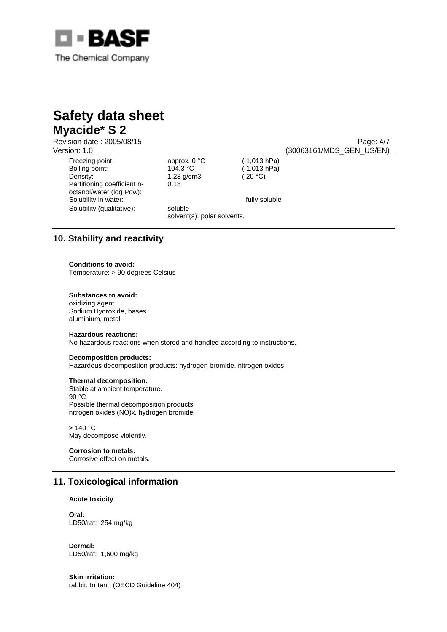

Revision date : 2005/08/15 Page: 4/7<br>Version: 1.0 Page: 4/7 (30063161/MDS\_GEN US/EN) (30063161/MDS\_GEN\_US/EN) Freezing point: approx. 0 °C (1,013 hPa)<br>Boiling point: 104.3 °C (1,013 hPa) Boiling point: Density: 1.23 g/cm3 (20 °C) Partitioning coefficient noctanol/water (log Pow): 0.18 Solubility in water:  $f_{\text{u}}(t) = \int_{0}^{t} f(t) \, dt$  fully soluble Solubility (qualitative): soluble solvent(s): polar solvents,

# **10. Stability and reactivity**

### **Conditions to avoid:**

Temperature: > 90 degrees Celsius

### **Substances to avoid:**

oxidizing agent Sodium Hydroxide, bases aluminium, metal

#### **Hazardous reactions:**

No hazardous reactions when stored and handled according to instructions.

### **Decomposition products:**

Hazardous decomposition products: hydrogen bromide, nitrogen oxides

### **Thermal decomposition:**

Stable at ambient temperature. 90 °C Possible thermal decomposition products: nitrogen oxides (NO)x, hydrogen bromide

 $> 140 °C$ May decompose violently.

### **Corrosion to metals:**

Corrosive effect on metals.

# **11. Toxicological information**

#### **Acute toxicity**

**Oral:**  LD50/rat: 254 mg/kg

**Dermal:**  LD50/rat: 1,600 mg/kg

**Skin irritation:**  rabbit: Irritant. (OECD Guideline 404)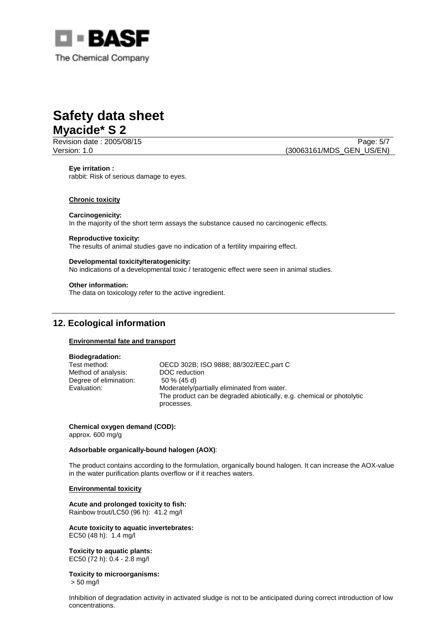

Revision date : 2005/08/15 **Page: 5/7** Page: 5/7 Version: 1.0 (30063161/MDS\_GEN\_US/EN)

**Eye irritation :**  rabbit: Risk of serious damage to eyes.

### **Chronic toxicity**

### **Carcinogenicity:**

In the majority of the short term assays the substance caused no carcinogenic effects.

#### **Reproductive toxicity:**

The results of animal studies gave no indication of a fertility impairing effect.

### **Developmental toxicity/teratogenicity:**

No indications of a developmental toxic / teratogenic effect were seen in animal studies.

### **Other information:**

The data on toxicology refer to the active ingredient.

# **12. Ecological information**

### **Environmental fate and transport**

### **Biodegradation:**

Method of analysis: DOC reduction Degree of elimination: 50 % (45 d)

Test method: OECD 302B; ISO 9888; 88/302/EEC,part C Evaluation: Moderately/partially eliminated from water. The product can be degraded abiotically, e.g. chemical or photolytic processes.

**Chemical oxygen demand (COD):**  approx. 600 mg/g

### **Adsorbable organically-bound halogen (AOX)**:

The product contains according to the formulation, organically bound halogen. It can increase the AOX-value in the water purification plants overflow or if it reaches waters.

### **Environmental toxicity**

**Acute and prolonged toxicity to fish:**  Rainbow trout/LC50 (96 h): 41.2 mg/l

**Acute toxicity to aquatic invertebrates:**  EC50 (48 h): 1.4 mg/l

**Toxicity to aquatic plants:**  EC50 (72 h): 0.4 - 2.8 mg/l

### **Toxicity to microorganisms:**

> 50 mg/l

Inhibition of degradation activity in activated sludge is not to be anticipated during correct introduction of low concentrations.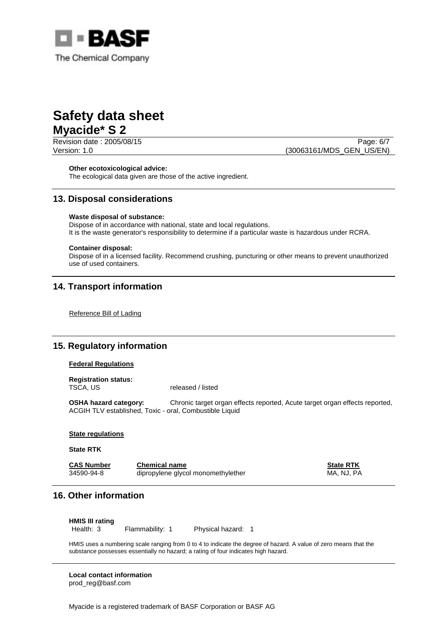

Revision date : 2005/08/15 **Page: 6/7** Version: 1.0 (30063161/MDS\_GEN\_US/EN)

### **Other ecotoxicological advice:**

The ecological data given are those of the active ingredient.

# **13. Disposal considerations**

## **Waste disposal of substance:**

Dispose of in accordance with national, state and local regulations. It is the waste generator's responsibility to determine if a particular waste is hazardous under RCRA.

### **Container disposal:**

Dispose of in a licensed facility. Recommend crushing, puncturing or other means to prevent unauthorized use of used containers.

# **14. Transport information**

Reference Bill of Lading

# **15. Regulatory information**

### **Federal Regulations**

**Registration status:**  TSCA, US released / listed

**OSHA hazard category:** Chronic target organ effects reported, Acute target organ effects reported, ACGIH TLV established, Toxic - oral, Combustible Liquid

### **State regulations**

### **State RTK**

| <b>CAS Number</b> | <b>Chemical name</b>               | <b>State RTK</b> |
|-------------------|------------------------------------|------------------|
| 34590-94-8        | dipropylene glycol monomethylether | MA. NJ. PA       |

# **16. Other information**

**HMIS III rating**

Health: 3 Flammability: 1 Physical hazard: 1

HMIS uses a numbering scale ranging from 0 to 4 to indicate the degree of hazard. A value of zero means that the substance possesses essentially no hazard; a rating of four indicates high hazard.

**Local contact information**  prod\_reg@basf.com